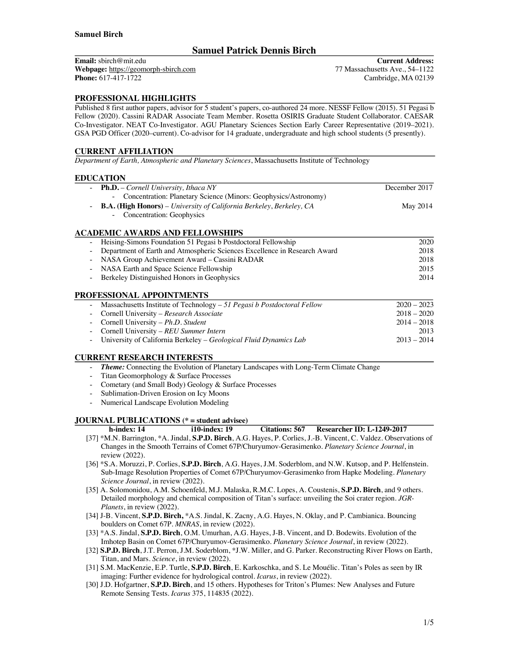# **Samuel Patrick Dennis Birch**

**Email:** sbirch@mit.edu **Webpage:** https://geomorph-sbirch.com **Phone:** 617-417-1722

**Current Address:** 77 Massachusetts Ave., 54–1122 Cambridge, MA 02139

# **PROFESSIONAL HIGHLIGHTS**

Published 8 first author papers, advisor for 5 student's papers, co-authored 24 more. NESSF Fellow (2015). 51 Pegasi b Fellow (2020). Cassini RADAR Associate Team Member. Rosetta OSIRIS Graduate Student Collaborator. CAESAR Co-Investigator. NEAT Co-Investigator. AGU Planetary Sciences Section Early Career Representative (2019–2021). GSA PGD Officer (2020–current). Co-advisor for 14 graduate, undergraduate and high school students (5 presently).

### **CURRENT AFFILIATION**

*Department of Earth, Atmospheric and Planetary Sciences*, Massachusetts Institute of Technology

### **EDUCATION**

|                          | <b>Ph.D.</b> – Cornell University, Ithaca NY                                                                       | December 2017 |
|--------------------------|--------------------------------------------------------------------------------------------------------------------|---------------|
|                          | Concentration: Planetary Science (Minors: Geophysics/Astronomy)                                                    |               |
|                          | <b>B.A. (High Honors)</b> – University of California Berkeley, Berkeley, CA                                        | May 2014      |
|                          | Concentration: Geophysics                                                                                          |               |
|                          | ACADEMIC AWARDS AND FELLOWSHIPS                                                                                    |               |
|                          | Heising-Simons Foundation 51 Pegasi b Postdoctoral Fellowship                                                      | 2020          |
| $\overline{\phantom{a}}$ | Department of Earth and Atmospheric Sciences Excellence in Research Award                                          | 2018          |
|                          | NASA Group Achievement Award - Cassini RADAR                                                                       | 2018          |
| $\overline{\phantom{a}}$ | NASA Earth and Space Science Fellowship                                                                            | 2015          |
|                          | Berkeley Distinguished Honors in Geophysics                                                                        | 2014          |
|                          | PROFESSIONAL APPOINTMENTS                                                                                          |               |
|                          | Massachusetts Institute of Technology - 51 Pegasi b Postdoctoral Fellow                                            | $2020 - 2023$ |
|                          | Cornell University - Research Associate                                                                            | $2018 - 2020$ |
|                          | Cornell University - Ph.D. Student                                                                                 | $2014 - 2018$ |
|                          | Cornell University - REU Summer Intern                                                                             | 2013          |
|                          | University of California Berkeley - Geological Fluid Dynamics Lab                                                  | $2013 - 2014$ |
|                          | <b>CURRENT RESEARCH INTERESTS</b>                                                                                  |               |
| $\overline{\phantom{a}}$ | Theme: Connecting the Evolution of Planetary Landscapes with Long-Term Climate Change                              |               |
|                          | Titan Geomorphology & Surface Processes                                                                            |               |
|                          | Cometary (and Small Body) Geology & Surface Processes                                                              |               |
|                          | Sublimation-Driven Erosion on Icy Moons                                                                            |               |
| $\overline{\phantom{a}}$ | Numerical Landscape Evolution Modeling                                                                             |               |
|                          | <b>JOURNAL PUBLICATIONS</b> (* = student advisee)                                                                  |               |
|                          | h-index: 14<br><b>Citations: 567</b><br><b>Researcher ID: L-1249-2017</b><br>i10-index: 19                         |               |
|                          | [37] *M.N. Barrington, *A. Jindal, S.P.D. Birch, A.G. Hayes, P. Corlies, J.-B. Vincent, C. Valdez. Observations of |               |
|                          | $\alpha$ . The state of $\alpha$ is the state of the state $\alpha$ in the state $\alpha$ in the state $\alpha$    |               |

- Changes in the Smooth Terrains of Comet 67P/Churyumov-Gerasimenko. *Planetary Science Journal*, in review (2022).
- [36] \*S.A. Moruzzi, P. Corlies, **S.P.D. Birch**, A.G. Hayes, J.M. Soderblom, and N.W. Kutsop, and P. Helfenstein. Sub-Image Resolution Properties of Comet 67P/Churyumov-Gerasimenko from Hapke Modeling. *Planetary Science Journal*, in review (2022).
- [35] A. Solomonidou, A.M. Schoenfeld, M.J. Malaska, R.M.C. Lopes, A. Coustenis, **S.P.D. Birch**, and 9 others. Detailed morphology and chemical composition of Titan's surface: unveiling the Soi crater region. *JGR-Planets*, in review (2022).
- [34] J-B. Vincent, **S.P.D. Birch,** \*A.S. Jindal, K. Zacny, A.G. Hayes, N. Oklay, and P. Cambianica. Bouncing boulders on Comet 67P. *MNRAS*, in review (2022).
- [33] \*A.S. Jindal, **S.P.D. Birch**, O.M. Umurhan, A.G. Hayes, J-B. Vincent, and D. Bodewits. Evolution of the Imhotep Basin on Comet 67P/Churyumov-Gerasimenko. *Planetary Science Journal*, in review (2022).
- [32] **S.P.D. Birch**, J.T. Perron, J.M. Soderblom, \*J.W. Miller, and G. Parker. Reconstructing River Flows on Earth, Titan, and Mars. *Science*, in review (2022).
- [31] S.M. MacKenzie, E.P. Turtle, **S.P.D. Birch**, E. Karkoschka, and S. Le Mouélic. Titan's Poles as seen by IR imaging: Further evidence for hydrological control. *Icarus*, in review (2022).
- [30] J.D. Hofgartner, **S.P.D. Birch**, and 15 others. Hypotheses for Triton's Plumes: New Analyses and Future Remote Sensing Tests. *Icarus* 375, 114835 (2022).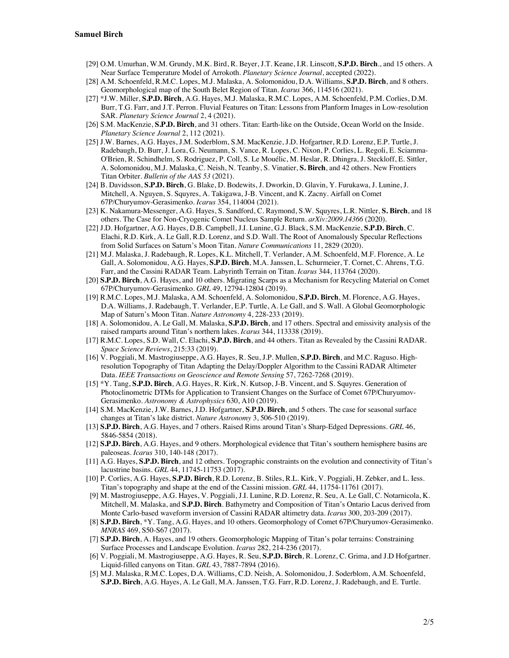- [29] O.M. Umurhan, W.M. Grundy, M.K. Bird, R. Beyer, J.T. Keane, I.R. Linscott, **S.P.D. Birch**., and 15 others. A Near Surface Temperature Model of Arrokoth. *Planetary Science Journal*, accepted (2022).
- [28] A.M. Schoenfeld, R.M.C. Lopes, M.J. Malaska, A. Solomonidou, D.A. Williams, **S.P.D. Birch**, and 8 others. Geomorphological map of the South Belet Region of Titan. *Icarus* 366, 114516 (2021).
- [27] \*J.W. Miller, **S.P.D. Birch**, A.G. Hayes, M.J. Malaska, R.M.C. Lopes, A.M. Schoenfeld, P.M. Corlies, D.M. Burr, T.G. Farr, and J.T. Perron. Fluvial Features on Titan: Lessons from Planform Images in Low-resolution SAR. *Planetary Science Journal* 2, 4 (2021).
- [26] S.M. MacKenzie, **S.P.D. Birch**, and 31 others. Titan: Earth-like on the Outside, Ocean World on the Inside. *Planetary Science Journal* 2, 112 (2021).
- [25] J.W. Barnes, A.G. Hayes, J.M. Soderblom, S.M. MacKenzie, J.D. Hofgartner, R.D. Lorenz, E.P. Turtle, J. Radebaugh, D. Burr, J. Lora, G. Neumann, S. Vance, R. Lopes, C. Nixon, P. Corlies, L. Regoli, E. Sciamma-O'Brien, R. Schindhelm, S. Rodriguez, P. Coll, S. Le Mouélic, M. Heslar, R. Dhingra, J. Steckloff, E. Sittler, A. Solomonidou, M.J. Malaska, C. Neish, N. Teanby, S. Vinatier, **S. Birch**, and 42 others. New Frontiers Titan Orbiter. *Bulletin of the AAS 53* (2021).
- [24] B. Davidsson, **S.P.D. Birch**, G. Blake, D. Bodewits, J. Dworkin, D. Glavin, Y. Furukawa, J. Lunine, J. Mitchell, A. Nguyen, S. Squyres, A. Takigawa, J-B. Vincent, and K. Zacny. Airfall on Comet 67P/Churyumov-Gerasimenko. *Icarus* 354, 114004 (2021).
- [23] K. Nakamura-Messenger, A.G. Hayes, S. Sandford, C. Raymond, S.W. Squyres, L.R. Nittler, **S. Birch**, and 18 others. The Case for Non-Cryogenic Comet Nucleus Sample Return. *arXiv:2009.14366* (2020).
- [22] J.D. Hofgartner, A.G. Hayes, D.B. Campbell, J.I. Lunine, G.J. Black, S.M. MacKenzie, **S.P.D. Birch**, C. Elachi, R.D. Kirk, A. Le Gall, R.D. Lorenz, and S.D. Wall. The Root of Anomalously Specular Reflections from Solid Surfaces on Saturn's Moon Titan. *Nature Communications* 11, 2829 (2020).
- [21] M.J. Malaska, J. Radebaugh, R. Lopes, K.L. Mitchell, T. Verlander, A.M. Schoenfeld, M.F. Florence, A. Le Gall, A. Solomonidou, A.G. Hayes, **S.P.D. Birch**, M.A. Janssen, L. Schurmeier, T. Cornet, C. Ahrens, T.G. Farr, and the Cassini RADAR Team. Labyrinth Terrain on Titan. *Icarus* 344, 113764 (2020).
- [20] **S.P.D. Birch**, A.G. Hayes, and 10 others. Migrating Scarps as a Mechanism for Recycling Material on Comet 67P/Churyumov-Gerasimenko. *GRL* 49, 12794-12804 (2019).
- [19] R.M.C. Lopes, M.J. Malaska, A.M. Schoenfeld, A. Solomonidou, **S.P.D. Birch**, M. Florence, A.G. Hayes, D.A. Williams, J. Radebaugh, T. Verlander, E.P. Turtle, A. Le Gall, and S. Wall. A Global Geomorphologic Map of Saturn's Moon Titan. *Nature Astronomy* 4, 228-233 (2019).
- [18] A. Solomonidou, A. Le Gall, M. Malaska, **S.P.D. Birch**, and 17 others. Spectral and emissivity analysis of the raised ramparts around Titan's northern lakes. *Icarus* 344, 113338 (2019).
- [17] R.M.C. Lopes, S.D. Wall, C. Elachi, **S.P.D. Birch**, and 44 others. Titan as Revealed by the Cassini RADAR. *Space Science Reviews*, 215:33 (2019).
- [16] V. Poggiali, M. Mastrogiuseppe, A.G. Hayes, R. Seu, J.P. Mullen, **S.P.D. Birch**, and M.C. Raguso. Highresolution Topography of Titan Adapting the Delay/Doppler Algorithm to the Cassini RADAR Altimeter Data. *IEEE Transactions on Geoscience and Remote Sensing* 57, 7262-7268 (2019).
- [15] \*Y. Tang, **S.P.D. Birch**, A.G. Hayes, R. Kirk, N. Kutsop, J-B. Vincent, and S. Squyres. Generation of Photoclinometric DTMs for Application to Transient Changes on the Surface of Comet 67P/Churyumov-Gerasimenko. *Astronomy & Astrophysics* 630, A10 (2019).
- [14] S.M. MacKenzie, J.W. Barnes, J.D. Hofgartner, **S.P.D. Birch**, and 5 others. The case for seasonal surface changes at Titan's lake district. *Nature Astronomy* 3, 506-510 (2019).
- [13] **S.P.D. Birch**, A.G. Hayes, and 7 others. Raised Rims around Titan's Sharp-Edged Depressions. *GRL* 46, 5846-5854 (2018).
- [12] **S.P.D. Birch**, A.G. Hayes, and 9 others. Morphological evidence that Titan's southern hemisphere basins are paleoseas. *Icarus* 310, 140-148 (2017).
- [11] A.G. Hayes, **S.P.D. Birch**, and 12 others. Topographic constraints on the evolution and connectivity of Titan's lacustrine basins. *GRL* 44, 11745-11753 (2017).
- [10] P. Corlies, A.G. Hayes, **S.P.D. Birch**, R.D. Lorenz, B. Stiles, R.L. Kirk, V. Poggiali, H. Zebker, and L. Iess. Titan's topography and shape at the end of the Cassini mission. *GRL* 44, 11754-11761 (2017).
- [9] M. Mastrogiuseppe, A.G. Hayes, V. Poggiali, J.I. Lunine, R.D. Lorenz, R. Seu, A. Le Gall, C. Notarnicola, K. Mitchell, M. Malaska, and **S.P.D. Birch**. Bathymetry and Composition of Titan's Ontario Lacus derived from Monte Carlo-based waveform inversion of Cassini RADAR altimetry data. *Icarus* 300, 203-209 (2017).
- [8] **S.P.D. Birch**, \*Y. Tang, A.G. Hayes, and 10 others. Geomorphology of Comet 67P/Churyumov-Gerasimenko. *MNRAS* 469, S50-S67 (2017).
- [7] **S.P.D. Birch**, A. Hayes, and 19 others. Geomorphologic Mapping of Titan's polar terrains: Constraining Surface Processes and Landscape Evolution. *Icarus* 282, 214-236 (2017).
- [6] V. Poggiali, M. Mastrogiuseppe, A.G. Hayes, R. Seu, **S.P.D. Birch**, R. Lorenz, C. Grima, and J.D Hofgartner. Liquid-filled canyons on Titan. *GRL* 43, 7887-7894 (2016).
- [5] M.J. Malaska, R.M.C. Lopes, D.A. Williams, C.D. Neish, A. Solomonidou, J. Soderblom, A.M. Schoenfeld, **S.P.D. Birch**, A.G. Hayes, A. Le Gall, M.A. Janssen, T.G. Farr, R.D. Lorenz, J. Radebaugh, and E. Turtle.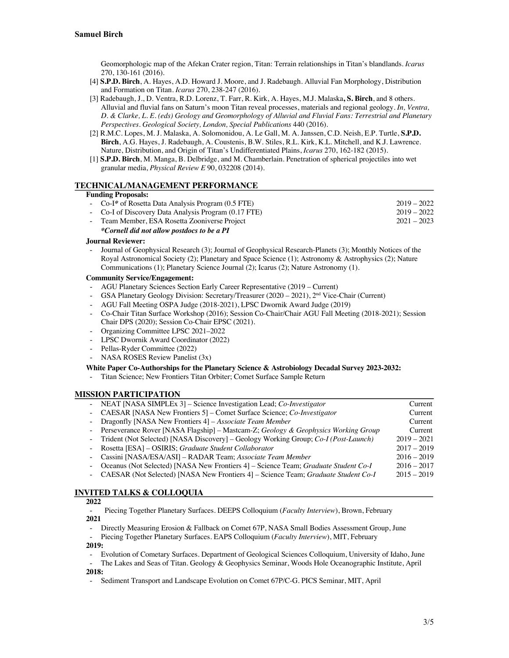Geomorphologic map of the Afekan Crater region, Titan: Terrain relationships in Titan's blandlands. *Icarus* 270, 130-161 (2016).

- [4] **S.P.D. Birch**, A. Hayes, A.D. Howard J. Moore, and J. Radebaugh. Alluvial Fan Morphology, Distribution and Formation on Titan. *Icarus* 270, 238-247 (2016).
- [3] Radebaugh, J., D. Ventra, R.D. Lorenz, T. Farr, R. Kirk, A. Hayes, M.J. Malaska**, S. Birch**, and 8 others. Alluvial and fluvial fans on Saturn's moon Titan reveal processes, materials and regional geology. *In, Ventra, D. & Clarke, L. E. (eds) Geology and Geomorphology of Alluvial and Fluvial Fans: Terrestrial and Planetary Perspectives. Geological Society, London, Special Publications* 440 (2016).
- [2] R.M.C. Lopes, M. J. Malaska, A. Solomonidou, A. Le Gall, M. A. Janssen, C.D. Neish, E.P. Turtle, **S.P.D. Birch**, A.G. Hayes, J. Radebaugh, A. Coustenis, B.W. Stiles, R.L. Kirk, K.L. Mitchell, and K.J. Lawrence. Nature, Distribution, and Origin of Titan's Undifferentiated Plains, *Icarus* 270, 162-182 (2015).
- [1] **S.P.D. Birch**, M. Manga, B. Delbridge, and M. Chamberlain. Penetration of spherical projectiles into wet granular media, *Physical Review E* 90, 032208 (2014).

#### **TECHNICAL/MANAGEMENT PERFORMANCE**

#### **Funding Proposals:**

| - Co-I* of Rosetta Data Analysis Program (0.5 FTE)   | $2019 - 2022$ |
|------------------------------------------------------|---------------|
| - Co-I of Discovery Data Analysis Program (0.17 FTE) | $2019 - 2022$ |
| - Team Member, ESA Rosetta Zooniverse Project        | $2021 - 2023$ |
|                                                      |               |

### *\*Cornell did not allow postdocs to be a PI*

#### **Journal Reviewer:**

Journal of Geophysical Research (3); Journal of Geophysical Research-Planets (3); Monthly Notices of the Royal Astronomical Society (2); Planetary and Space Science (1); Astronomy & Astrophysics (2); Nature Communications (1); Planetary Science Journal (2); Icarus (2); Nature Astronomy (1).

### **Community Service/Engagement:**

- AGU Planetary Sciences Section Early Career Representative (2019 Current)
- GSA Planetary Geology Division: Secretary/Treasurer (2020 2021), 2nd Vice-Chair (Current)
- AGU Fall Meeting OSPA Judge (2018-2021), LPSC Dwornik Award Judge (2019)
- Co-Chair Titan Surface Workshop (2016); Session Co-Chair/Chair AGU Fall Meeting (2018-2021); Session Chair DPS (2020); Session Co-Chair EPSC (2021).
- Organizing Committee LPSC 2021–2022
- LPSC Dwornik Award Coordinator (2022)
- Pellas-Ryder Committee (2022)
- NASA ROSES Review Panelist (3x)

#### **White Paper Co-Authorships for the Planetary Science & Astrobiology Decadal Survey 2023-2032:**

- Titan Science; New Frontiers Titan Orbiter; Comet Surface Sample Return

#### **MISSION PARTICIPATION**

| - NEAT [NASA SIMPLEx 3] – Science Investigation Lead; Co-Investigator                        | Current       |
|----------------------------------------------------------------------------------------------|---------------|
| - CAESAR [NASA New Frontiers 5] – Comet Surface Science; Co-Investigator                     | Current       |
| - Dragonfly [NASA New Frontiers 4] – Associate Team Member                                   | Current       |
| - Perseverance Rover [NASA Flagship] - Mastcam-Z; Geology & Geophysics Working Group         | Current       |
| - Trident (Not Selected) [NASA Discovery] – Geology Working Group; Co-I (Post-Launch)        | $2019 - 2021$ |
| - Rosetta [ESA] – OSIRIS; Graduate Student Collaborator                                      | $2017 - 2019$ |
| - Cassini [NASA/ESA/ASI] – RADAR Team; Associate Team Member                                 | $2016 - 2019$ |
| - Oceanus (Not Selected) [NASA New Frontiers 4] – Science Team; <i>Graduate Student Co-I</i> | $2016 - 2017$ |
| - CAESAR (Not Selected) [NASA New Frontiers 4] – Science Team; Graduate Student Co-I         | $2015 - 2019$ |
|                                                                                              |               |

# **INVITED TALKS & COLLOQUIA**

#### **2022**

- Piecing Together Planetary Surfaces. DEEPS Colloquium (*Faculty Interview*), Brown, February  **2021**

- Directly Measuring Erosion & Fallback on Comet 67P, NASA Small Bodies Assessment Group, June

- Piecing Together Planetary Surfaces. EAPS Colloquium (*Faculty Interview*), MIT, February

# **2019:**

- Evolution of Cometary Surfaces. Department of Geological Sciences Colloquium, University of Idaho, June

- The Lakes and Seas of Titan. Geology & Geophysics Seminar, Woods Hole Oceanographic Institute, April **2018:**

- Sediment Transport and Landscape Evolution on Comet 67P/C-G. PICS Seminar, MIT, April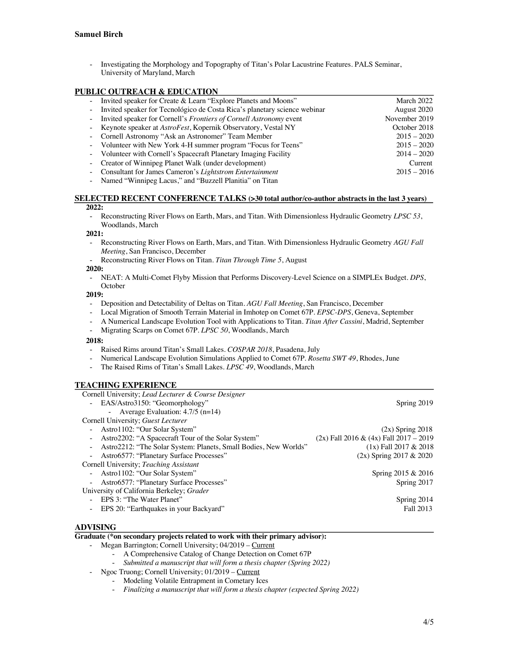- Investigating the Morphology and Topography of Titan's Polar Lacustrine Features. PALS Seminar, University of Maryland, March

# **PUBLIC OUTREACH & EDUCATION**

| Invited speaker for Create & Learn "Explore Planets and Moons"              | March 2022    |
|-----------------------------------------------------------------------------|---------------|
| - Invited speaker for Tecnológico de Costa Rica's planetary science webinar | August 2020   |
| - Invited speaker for Cornell's Frontiers of Cornell Astronomy event        | November 2019 |
| - Keynote speaker at AstroFest, Kopernik Observatory, Vestal NY             | October 2018  |
| - Cornell Astronomy "Ask an Astronomer" Team Member                         | $2015 - 2020$ |
| - Volunteer with New York 4-H summer program "Focus for Teens"              | $2015 - 2020$ |
| - Volunteer with Cornell's Spacecraft Planetary Imaging Facility            | $2014 - 2020$ |
| - Creator of Winnipeg Planet Walk (under development)                       | Current       |
| - Consultant for James Cameron's Lightstrom Entertainment                   | $2015 - 2016$ |
| - Named "Winnipeg Lacus," and "Buzzell Planitia" on Titan                   |               |

#### **SELECTED RECENT CONFERENCE TALKS (>30 total author/co-author abstracts in the last 3 years) 2022:**

- Reconstructing River Flows on Earth, Mars, and Titan. With Dimensionless Hydraulic Geometry *LPSC 53*, Woodlands, March

#### **2021:**

- Reconstructing River Flows on Earth, Mars, and Titan. With Dimensionless Hydraulic Geometry *AGU Fall Meeting*, San Francisco, December
- Reconstructing River Flows on Titan. *Titan Through Time 5*, August

#### **2020:**

- NEAT: A Multi-Comet Flyby Mission that Performs Discovery-Level Science on a SIMPLEx Budget. *DPS*, **October** 

#### **2019:**

- Deposition and Detectability of Deltas on Titan. *AGU Fall Meeting*, San Francisco, December
- Local Migration of Smooth Terrain Material in Imhotep on Comet 67P. *EPSC-DPS*, Geneva, September
- A Numerical Landscape Evolution Tool with Applications to Titan. *Titan After Cassini*, Madrid, September
- Migrating Scarps on Comet 67P. *LPSC 50*, Woodlands, March

#### **2018:**

- Raised Rims around Titan's Small Lakes. *COSPAR 2018*, Pasadena, July
- Numerical Landscape Evolution Simulations Applied to Comet 67P. *Rosetta SWT 49*, Rhodes, June
- The Raised Rims of Titan's Small Lakes. *LPSC 49*, Woodlands, March

### **TEACHING EXPERIENCE**

| Cornell University; Lead Lecturer & Course Designer              |                                            |  |  |
|------------------------------------------------------------------|--------------------------------------------|--|--|
| - EAS/Astro3150: "Geomorphology"                                 | Spring 2019                                |  |  |
| - Average Evaluation: $4.7/5$ (n=14)                             |                                            |  |  |
| Cornell University; Guest Lecturer                               |                                            |  |  |
| - Astro1102: "Our Solar System"                                  | $(2x)$ Spring 2018                         |  |  |
| Astro2202: "A Spacecraft Tour of the Solar System"               | $(2x)$ Fall 2016 & $(4x)$ Fall 2017 - 2019 |  |  |
| Astro2212: "The Solar System: Planets, Small Bodies, New Worlds" | $(1x)$ Fall 2017 & 2018                    |  |  |
| - Astro6577: "Planetary Surface Processes"                       | $(2x)$ Spring 2017 & 2020                  |  |  |
| Cornell University; Teaching Assistant                           |                                            |  |  |
| - Astro1102: "Our Solar System"                                  | Spring 2015 & 2016                         |  |  |
| Astro6577: "Planetary Surface Processes"                         | Spring 2017                                |  |  |
| University of California Berkeley; Grader                        |                                            |  |  |
| EPS 3: "The Water Planet"                                        | Spring 2014                                |  |  |
| EPS 20: "Earthquakes in your Backyard"                           | Fall 2013                                  |  |  |
|                                                                  |                                            |  |  |

# **ADVISING**

### **Graduate (\*on secondary projects related to work with their primary advisor):**

- Megan Barrington; Cornell University; 04/2019 Current
	- A Comprehensive Catalog of Change Detection on Comet 67P
	- *Submitted a manuscript that will form a thesis chapter (Spring 2022)*
- Ngoc Truong; Cornell University; 01/2019 Current
	- Modeling Volatile Entrapment in Cometary Ices
	- *Finalizing a manuscript that will form a thesis chapter (expected Spring 2022)*